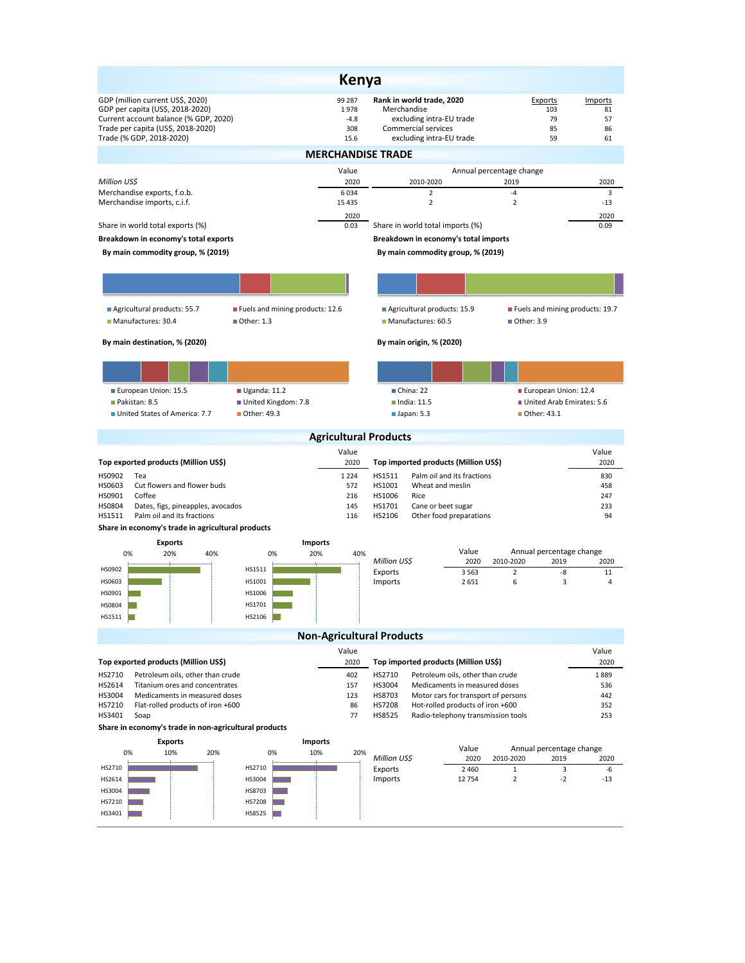| <b>Kenya</b>                                                                                                                                                                    |                                         |                                                                                                                         |                                                 |                                 |  |  |  |  |  |  |
|---------------------------------------------------------------------------------------------------------------------------------------------------------------------------------|-----------------------------------------|-------------------------------------------------------------------------------------------------------------------------|-------------------------------------------------|---------------------------------|--|--|--|--|--|--|
| GDP (million current US\$, 2020)<br>GDP per capita (US\$, 2018-2020)<br>Current account balance (% GDP, 2020)<br>Trade per capita (US\$, 2018-2020)<br>Trade (% GDP, 2018-2020) | 99 287<br>1978<br>$-4.8$<br>308<br>15.6 | Rank in world trade, 2020<br>Merchandise<br>excluding intra-EU trade<br>Commercial services<br>excluding intra-EU trade | Exports<br>103<br>79<br>85<br>59                | Imports<br>81<br>57<br>86<br>61 |  |  |  |  |  |  |
| <b>MERCHANDISE TRADE</b>                                                                                                                                                        |                                         |                                                                                                                         |                                                 |                                 |  |  |  |  |  |  |
| Million US\$                                                                                                                                                                    | Value<br>2020                           | 2010-2020                                                                                                               | Annual percentage change<br>2019                | 2020                            |  |  |  |  |  |  |
| Merchandise exports, f.o.b.                                                                                                                                                     | 6034                                    | $\overline{2}$                                                                                                          | $-4$                                            | 3                               |  |  |  |  |  |  |
| Merchandise imports, c.i.f.                                                                                                                                                     | 15 4 35<br>2020                         | $\overline{2}$                                                                                                          | $\overline{2}$                                  | $-13$<br>2020                   |  |  |  |  |  |  |
| Share in world total exports (%)                                                                                                                                                | 0.03                                    | Share in world total imports (%)                                                                                        |                                                 | 0.09                            |  |  |  |  |  |  |
| Breakdown in economy's total exports                                                                                                                                            | Breakdown in economy's total imports    |                                                                                                                         |                                                 |                                 |  |  |  |  |  |  |
| By main commodity group, % (2019)<br>By main commodity group, % (2019)                                                                                                          |                                         |                                                                                                                         |                                                 |                                 |  |  |  |  |  |  |
|                                                                                                                                                                                 |                                         |                                                                                                                         |                                                 |                                 |  |  |  |  |  |  |
| Agricultural products: 55.7<br>Fuels and mining products: 12.6<br>Manufactures: 30.4<br>Other: 1.3                                                                              |                                         | Agricultural products: 15.9<br>Manufactures: 60.5                                                                       | Fuels and mining products: 19.7<br>■ Other: 3.9 |                                 |  |  |  |  |  |  |
| By main destination, % (2020)                                                                                                                                                   |                                         | By main origin, % (2020)                                                                                                |                                                 |                                 |  |  |  |  |  |  |
|                                                                                                                                                                                 |                                         |                                                                                                                         |                                                 |                                 |  |  |  |  |  |  |
| European Union: 15.5<br>Uganda: 11.2                                                                                                                                            |                                         | China: 22                                                                                                               | European Union: 12.4                            |                                 |  |  |  |  |  |  |
| Pakistan: 8.5<br>United Kingdom: 7.8<br>Other: 49.3<br>United States of America: 7.7                                                                                            |                                         | $\blacksquare$ India: 11.5<br>$\blacksquare$ Japan: 5.3                                                                 | United Arab Emirates: 5.6<br>Other: 43.1        |                                 |  |  |  |  |  |  |
|                                                                                                                                                                                 | <b>Agricultural Products</b>            |                                                                                                                         |                                                 |                                 |  |  |  |  |  |  |
|                                                                                                                                                                                 | Value                                   |                                                                                                                         |                                                 | Value                           |  |  |  |  |  |  |
| Top exported products (Million US\$)<br>HS0902<br>Tea                                                                                                                           | 2020<br>1 2 2 4                         | Top imported products (Million US\$)<br>HS1511<br>Palm oil and its fractions                                            |                                                 | 2020<br>830                     |  |  |  |  |  |  |
| Cut flowers and flower buds<br>HS0603                                                                                                                                           | 572                                     | HS1001<br>Wheat and meslin                                                                                              |                                                 | 458                             |  |  |  |  |  |  |
| HS0901<br>Coffee<br>HS0804<br>Dates, figs, pineapples, avocados                                                                                                                 | 216<br>145                              | HS1006<br>Rice<br>HS1701<br>Cane or beet sugar                                                                          |                                                 | 247<br>233                      |  |  |  |  |  |  |
| Palm oil and its fractions<br>HS1511                                                                                                                                            | 116                                     | HS2106<br>Other food preparations                                                                                       |                                                 | 94                              |  |  |  |  |  |  |
| Share in economy's trade in agricultural products                                                                                                                               |                                         |                                                                                                                         |                                                 |                                 |  |  |  |  |  |  |
| <b>Exports</b><br>0%<br>20%<br>40%<br>0%                                                                                                                                        | <b>Imports</b><br>20%<br>40%            | Value                                                                                                                   | Annual percentage change                        |                                 |  |  |  |  |  |  |
| HS0902<br>HS1511                                                                                                                                                                |                                         | Million US\$<br>2020                                                                                                    | 2010-2020<br>2019                               | 2020<br>11                      |  |  |  |  |  |  |
| HS0603<br>HS1001                                                                                                                                                                |                                         | Exports<br>3 5 6 3<br>Imports<br>2651                                                                                   | $\overline{2}$<br>-8<br>6<br>3                  | $\overline{4}$                  |  |  |  |  |  |  |
| HS0901<br>HS1006                                                                                                                                                                |                                         |                                                                                                                         |                                                 |                                 |  |  |  |  |  |  |
| HS0804<br>HS1701<br>HS1511<br>HS2106<br>n a                                                                                                                                     |                                         |                                                                                                                         |                                                 |                                 |  |  |  |  |  |  |
|                                                                                                                                                                                 | <b>Non-Agricultural Products</b>        |                                                                                                                         |                                                 |                                 |  |  |  |  |  |  |
|                                                                                                                                                                                 | Value                                   |                                                                                                                         |                                                 | Value                           |  |  |  |  |  |  |
| Top exported products (Million US\$)                                                                                                                                            | 2020                                    | Top imported products (Million US\$)                                                                                    |                                                 | 2020                            |  |  |  |  |  |  |
| HS2710<br>Petroleum oils, other than crude                                                                                                                                      | 402                                     | HS2710<br>Petroleum oils, other than crude                                                                              |                                                 | 1889                            |  |  |  |  |  |  |
| HS2614<br>Titanium ores and concentrates<br>HS3004<br>Medicaments in measured doses                                                                                             | 157<br>123                              | HS3004<br>Medicaments in measured doses<br>HS8703<br>Motor cars for transport of persons                                |                                                 | 536<br>442                      |  |  |  |  |  |  |
| HS7210<br>Flat-rolled products of iron +600                                                                                                                                     | 86                                      | Hot-rolled products of iron +600<br>HS7208                                                                              |                                                 | 352                             |  |  |  |  |  |  |
| HS3401<br>Soap                                                                                                                                                                  | 77                                      | HS8525<br>Radio-telephony transmission tools                                                                            |                                                 | 253                             |  |  |  |  |  |  |
| Share in economy's trade in non-agricultural products<br><b>Exports</b><br><b>Imports</b>                                                                                       |                                         |                                                                                                                         |                                                 |                                 |  |  |  |  |  |  |
| 0%<br>10%<br>20%<br>0%                                                                                                                                                          | 10%<br>20%                              | Value                                                                                                                   | Annual percentage change                        |                                 |  |  |  |  |  |  |
| HS2710<br>HS2710                                                                                                                                                                |                                         | Million US\$<br>2020<br>Exports<br>2 4 6 0                                                                              | 2010-2020<br>2019<br>$\mathbf{1}$<br>3          | 2020<br>-6                      |  |  |  |  |  |  |
| HS2614<br>HS3004                                                                                                                                                                |                                         | Imports<br>12 754                                                                                                       | $\overline{2}$<br>$-2$                          | -13                             |  |  |  |  |  |  |
| HS3004<br>HS8703<br><b>HS7208</b>                                                                                                                                               |                                         |                                                                                                                         |                                                 |                                 |  |  |  |  |  |  |
| HS7210<br>HS3401<br>HS8525                                                                                                                                                      |                                         |                                                                                                                         |                                                 |                                 |  |  |  |  |  |  |
|                                                                                                                                                                                 |                                         |                                                                                                                         |                                                 |                                 |  |  |  |  |  |  |